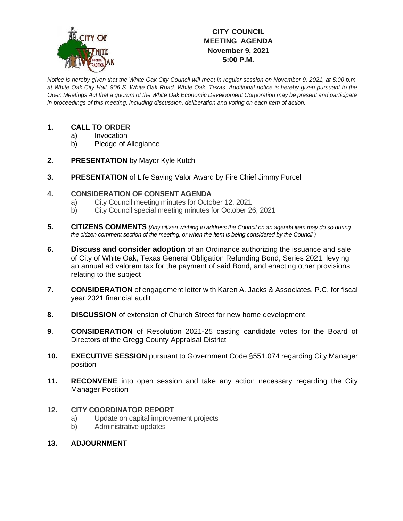

# **CITY COUNCIL MEETING AGENDA November 9, 2021 5:00 P.M.**

*Notice is hereby given that the White Oak City Council will meet in regular session on November 9, 2021, at 5:00 p.m. at White Oak City Hall, 906 S. White Oak Road, White Oak, Texas. Additional notice is hereby given pursuant to the Open Meetings Act that a quorum of the White Oak Economic Development Corporation may be present and participate in proceedings of this meeting, including discussion, deliberation and voting on each item of action.*

## **1. CALL TO ORDER**

- a) Invocation
- b) Pledge of Allegiance
- **2. PRESENTATION** by Mayor Kyle Kutch
- **3. PRESENTATION** of Life Saving Valor Award by Fire Chief Jimmy Purcell

### **4. CONSIDERATION OF CONSENT AGENDA**

- a) City Council meeting minutes for October 12, 2021
- b) City Council special meeting minutes for October 26, 2021
- **5. CITIZENS COMMENTS** *(Any citizen wishing to address the Council on an agenda item may do so during the citizen comment section of the meeting, or when the item is being considered by the Council.)*
- **6. Discuss and consider adoption** of an Ordinance authorizing the issuance and sale of City of White Oak, Texas General Obligation Refunding Bond, Series 2021, levying an annual ad valorem tax for the payment of said Bond, and enacting other provisions relating to the subject
- **7. CONSIDERATION** of engagement letter with Karen A. Jacks & Associates, P.C. for fiscal year 2021 financial audit
- **8. DISCUSSION** of extension of Church Street for new home development
- **9**. **CONSIDERATION** of Resolution 2021-25 casting candidate votes for the Board of Directors of the Gregg County Appraisal District
- **10. EXECUTIVE SESSION** pursuant to Government Code §551.074 regarding City Manager position
- **11. RECONVENE** into open session and take any action necessary regarding the City Manager Position

#### **12. CITY COORDINATOR REPORT**

- a) Update on capital improvement projects
- b) Administrative updates
- **13. ADJOURNMENT**